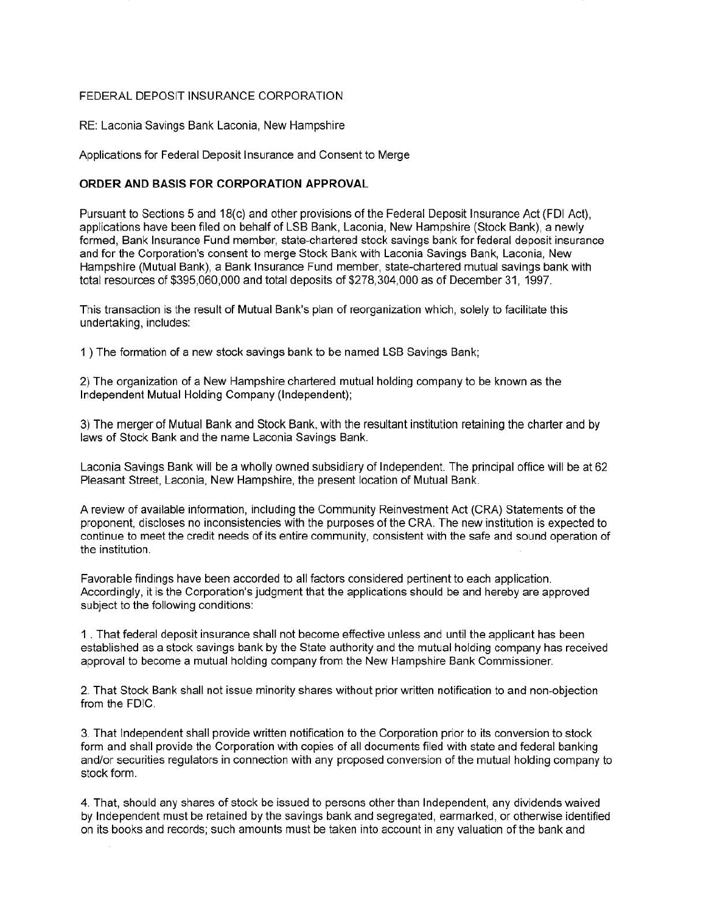## FEDERAL DEPOSIT INSURANCE CORPORATION

RE: Laconia Savings Bank Laconia, New Hampshire

Applications for Federal Deposit Insurance and Consent to Merge

## **ORDER AND BASIS FOR CORPORATION APPROVAL**

Pursuant to Sections 5 and 18(c) and other provisions of the Federal Deposit Insurance Act (FDI Act), applications have been filed on behalf of LSB Bank, Laconia, New Hampshire (Stock Bank), a newly formed, Bank Insurance Fund member, state-chartered stock savings bank for federal deposit insurance and for the Corporation's consent to merge Stock Bank with Laconia Savings Bank, Laconia, New Hampshire (Mutual Bank), a Bank Insurance Fund member, state-chartered mutual savings bank with total resources of \$395,060,000 and total deposits of \$278,304,000 as of December 31, 1997.

This transaction is the result of Mutual Bank's plan of reorganization which, solely to facilitate this undertaking, includes:

1 ) The formation of a new stock savings bank to be named LSB Savings Bank;

2) The organization of a New Hampshire chartered mutual holding company to be known as the Independent Mutual Holding Company (Independent);

3) The merger of Mutual Bank and Stock Bank, with the resultant institution retaining the charter and by laws of Stock Bank and the name Laconia Savings Bank.

Laconia Savings Bank will be a wholly owned subsidiary of Independent. The principal office will be at 62 Pleasant Street, Laconia, New Hampshire, the present location of Mutual Bank.

A review of available information, including the Community Reinvestment Act (CRA) Statements of the proponent, discloses no inconsistencies with the purposes of the CRA. The new institution is expected to continue to meet the credit needs of its entire community, consistent with the safe and sound operation of the institution.

Favorable findings have been accorded to all factors considered pertinent to each application. Accordingly, it is the Corporation's judgment that the applications should be and hereby are approved subject to the following conditions:

1 . That federal deposit insurance shall not become effective unless and until the applicant has been established as a stock savings bank by the State authority and the mutual holding company has received approval to become a mutual holding company from the New Hampshire Bank Commissioner.

2. That Stock Bank shall not issue minority shares without prior written notification to and non-objection from the FDIC.

3. That Independent shall provide written notification to the Corporation prior to its conversion to stock form and shall provide the Corporation with copies of all documents filed with state and federal banking and/or securities regulators in connection with any proposed conversion of the mutual holding company to stock form.

4. That, should any shares of stock be issued to persons other than Independent, any dividends waived by Independent must be retained by the savings bank and segregated, earmarked, or otherwise identified on its books and records; such amounts must be taken into account in any valuation of the bank and